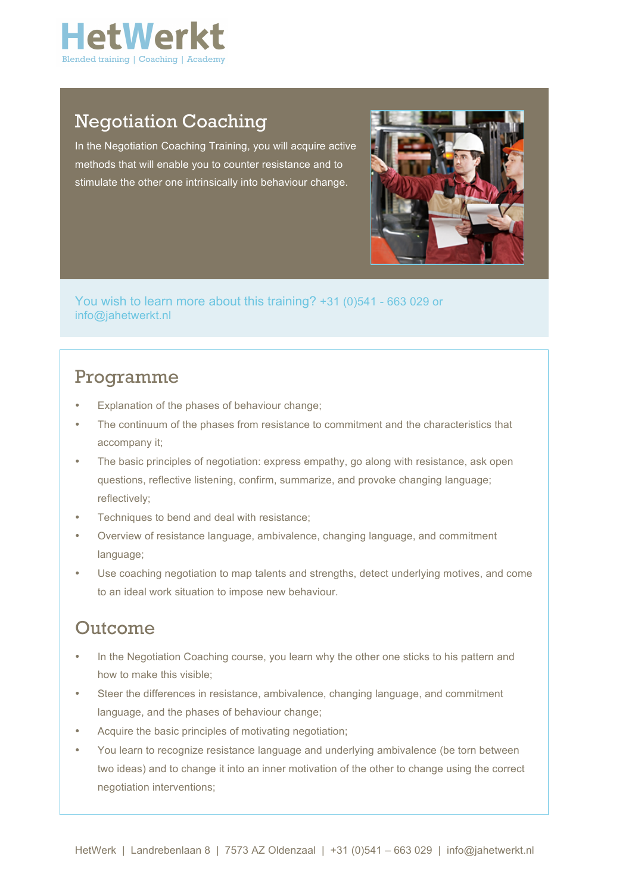

## Negotiation Coaching

In the Negotiation Coaching Training, you will acquire active methods that will enable you to counter resistance and to stimulate the other one intrinsically into behaviour change.



You wish to learn more about this training? +31 (0)541 - 663 029 or info@jahetwerkt.nl

#### Programme

- Explanation of the phases of behaviour change;
- The continuum of the phases from resistance to commitment and the characteristics that accompany it;
- The basic principles of negotiation: express empathy, go along with resistance, ask open questions, reflective listening, confirm, summarize, and provoke changing language; reflectively;
- Techniques to bend and deal with resistance;
- Overview of resistance language, ambivalence, changing language, and commitment language;
- Use coaching negotiation to map talents and strengths, detect underlying motives, and come to an ideal work situation to impose new behaviour.

## Outcome

- In the Negotiation Coaching course, you learn why the other one sticks to his pattern and how to make this visible;
- Steer the differences in resistance, ambivalence, changing language, and commitment language, and the phases of behaviour change;
- Acquire the basic principles of motivating negotiation;
- You learn to recognize resistance language and underlying ambivalence (be torn between two ideas) and to change it into an inner motivation of the other to change using the correct negotiation interventions;